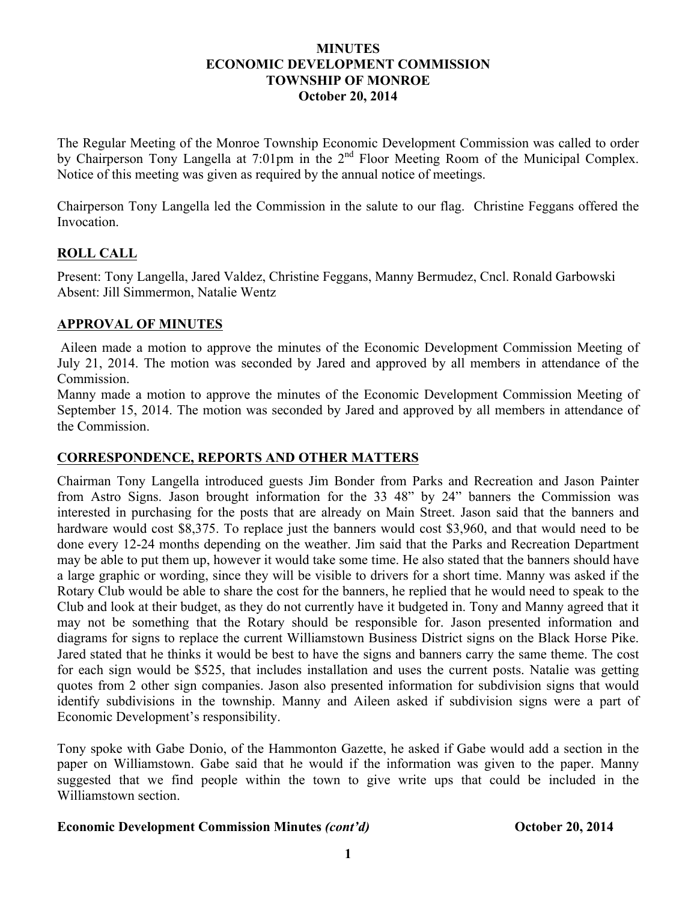#### **MINUTES ECONOMIC DEVELOPMENT COMMISSION TOWNSHIP OF MONROE October 20, 2014**

The Regular Meeting of the Monroe Township Economic Development Commission was called to order by Chairperson Tony Langella at 7:01pm in the 2<sup>nd</sup> Floor Meeting Room of the Municipal Complex. Notice of this meeting was given as required by the annual notice of meetings.

Chairperson Tony Langella led the Commission in the salute to our flag. Christine Feggans offered the Invocation.

# **ROLL CALL**

Present: Tony Langella, Jared Valdez, Christine Feggans, Manny Bermudez, Cncl. Ronald Garbowski Absent: Jill Simmermon, Natalie Wentz

### **APPROVAL OF MINUTES**

Aileen made a motion to approve the minutes of the Economic Development Commission Meeting of July 21, 2014. The motion was seconded by Jared and approved by all members in attendance of the Commission.

Manny made a motion to approve the minutes of the Economic Development Commission Meeting of September 15, 2014. The motion was seconded by Jared and approved by all members in attendance of the Commission.

### **CORRESPONDENCE, REPORTS AND OTHER MATTERS**

Chairman Tony Langella introduced guests Jim Bonder from Parks and Recreation and Jason Painter from Astro Signs. Jason brought information for the 33 48" by 24" banners the Commission was interested in purchasing for the posts that are already on Main Street. Jason said that the banners and hardware would cost \$8,375. To replace just the banners would cost \$3,960, and that would need to be done every 12-24 months depending on the weather. Jim said that the Parks and Recreation Department may be able to put them up, however it would take some time. He also stated that the banners should have a large graphic or wording, since they will be visible to drivers for a short time. Manny was asked if the Rotary Club would be able to share the cost for the banners, he replied that he would need to speak to the Club and look at their budget, as they do not currently have it budgeted in. Tony and Manny agreed that it may not be something that the Rotary should be responsible for. Jason presented information and diagrams for signs to replace the current Williamstown Business District signs on the Black Horse Pike. Jared stated that he thinks it would be best to have the signs and banners carry the same theme. The cost for each sign would be \$525, that includes installation and uses the current posts. Natalie was getting quotes from 2 other sign companies. Jason also presented information for subdivision signs that would identify subdivisions in the township. Manny and Aileen asked if subdivision signs were a part of Economic Development's responsibility.

Tony spoke with Gabe Donio, of the Hammonton Gazette, he asked if Gabe would add a section in the paper on Williamstown. Gabe said that he would if the information was given to the paper. Manny suggested that we find people within the town to give write ups that could be included in the Williamstown section.

### **Economic Development Commission Minutes** *(cont'd)* **<b>October 20, 2014**